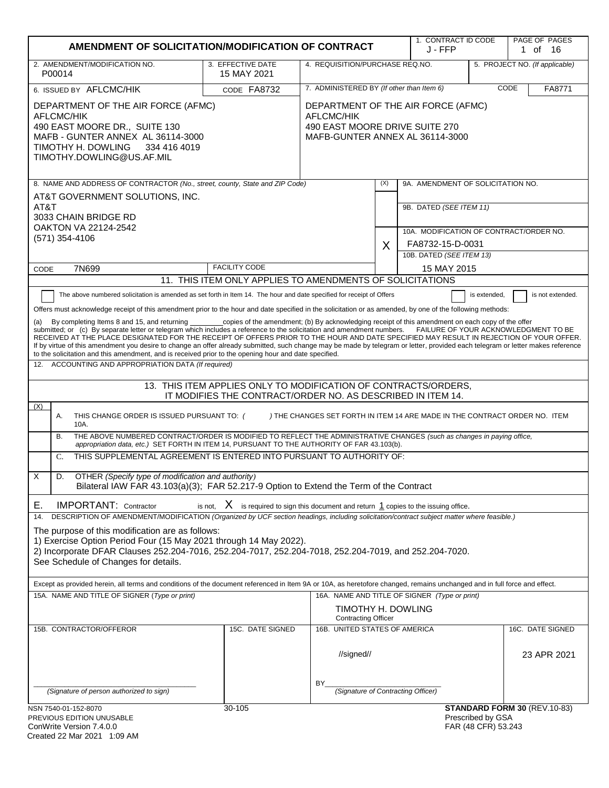| AMENDMENT OF SOLICITATION/MODIFICATION OF CONTRACT                                                                                                                                                                                                                                                                                                                                                                                                                                                                                                                                                                                                                                                                                                                                                                                                                                                                                                                                                                                                                                                                                                                                                                                                                                                                                                                                                                                                                                                                                                                                                                                                                                                                                                                                                                                                                                                                    |                                                           |                                                   |     | J - FFP                                      | 1. CONTRACT ID CODE<br>PAGE OF PAGES<br>1 of 16 |                                 |
|-----------------------------------------------------------------------------------------------------------------------------------------------------------------------------------------------------------------------------------------------------------------------------------------------------------------------------------------------------------------------------------------------------------------------------------------------------------------------------------------------------------------------------------------------------------------------------------------------------------------------------------------------------------------------------------------------------------------------------------------------------------------------------------------------------------------------------------------------------------------------------------------------------------------------------------------------------------------------------------------------------------------------------------------------------------------------------------------------------------------------------------------------------------------------------------------------------------------------------------------------------------------------------------------------------------------------------------------------------------------------------------------------------------------------------------------------------------------------------------------------------------------------------------------------------------------------------------------------------------------------------------------------------------------------------------------------------------------------------------------------------------------------------------------------------------------------------------------------------------------------------------------------------------------------|-----------------------------------------------------------|---------------------------------------------------|-----|----------------------------------------------|-------------------------------------------------|---------------------------------|
| 2. AMENDMENT/MODIFICATION NO.<br>P00014                                                                                                                                                                                                                                                                                                                                                                                                                                                                                                                                                                                                                                                                                                                                                                                                                                                                                                                                                                                                                                                                                                                                                                                                                                                                                                                                                                                                                                                                                                                                                                                                                                                                                                                                                                                                                                                                               | 3. EFFECTIVE DATE<br>15 MAY 2021                          | 4. REQUISITION/PURCHASE REQ.NO.                   |     |                                              |                                                 | 5. PROJECT NO. (If applicable)  |
| 6. ISSUED BY AFLCMC/HIK                                                                                                                                                                                                                                                                                                                                                                                                                                                                                                                                                                                                                                                                                                                                                                                                                                                                                                                                                                                                                                                                                                                                                                                                                                                                                                                                                                                                                                                                                                                                                                                                                                                                                                                                                                                                                                                                                               | CODE FA8732                                               | 7. ADMINISTERED BY (If other than Item 6)<br>CODE |     |                                              | FA8771                                          |                                 |
| DEPARTMENT OF THE AIR FORCE (AFMC)<br>DEPARTMENT OF THE AIR FORCE (AFMC)<br><b>AFLCMC/HIK</b><br><b>AFLCMC/HIK</b><br>490 EAST MOORE DRIVE SUITE 270<br>490 EAST MOORE DR., SUITE 130<br>MAFB - GUNTER ANNEX AL 36114-3000<br>MAFB-GUNTER ANNEX AL 36114-3000<br>TIMOTHY H. DOWLING<br>334 416 4019<br>TIMOTHY.DOWLING@US.AF.MIL                                                                                                                                                                                                                                                                                                                                                                                                                                                                                                                                                                                                                                                                                                                                                                                                                                                                                                                                                                                                                                                                                                                                                                                                                                                                                                                                                                                                                                                                                                                                                                                      |                                                           |                                                   |     |                                              |                                                 |                                 |
| 8. NAME AND ADDRESS OF CONTRACTOR (No., street, county, State and ZIP Code)                                                                                                                                                                                                                                                                                                                                                                                                                                                                                                                                                                                                                                                                                                                                                                                                                                                                                                                                                                                                                                                                                                                                                                                                                                                                                                                                                                                                                                                                                                                                                                                                                                                                                                                                                                                                                                           |                                                           |                                                   | (X) | 9A. AMENDMENT OF SOLICITATION NO.            |                                                 |                                 |
| AT&T GOVERNMENT SOLUTIONS, INC.<br>AT&T<br>3033 CHAIN BRIDGE RD<br><b>OAKTON VA 22124-2542</b>                                                                                                                                                                                                                                                                                                                                                                                                                                                                                                                                                                                                                                                                                                                                                                                                                                                                                                                                                                                                                                                                                                                                                                                                                                                                                                                                                                                                                                                                                                                                                                                                                                                                                                                                                                                                                        |                                                           |                                                   |     | 9B. DATED (SEE ITEM 11)                      |                                                 |                                 |
| (571) 354-4106                                                                                                                                                                                                                                                                                                                                                                                                                                                                                                                                                                                                                                                                                                                                                                                                                                                                                                                                                                                                                                                                                                                                                                                                                                                                                                                                                                                                                                                                                                                                                                                                                                                                                                                                                                                                                                                                                                        |                                                           |                                                   |     | 10A. MODIFICATION OF CONTRACT/ORDER NO.      |                                                 |                                 |
|                                                                                                                                                                                                                                                                                                                                                                                                                                                                                                                                                                                                                                                                                                                                                                                                                                                                                                                                                                                                                                                                                                                                                                                                                                                                                                                                                                                                                                                                                                                                                                                                                                                                                                                                                                                                                                                                                                                       |                                                           |                                                   | X   | FA8732-15-D-0031<br>10B. DATED (SEE ITEM 13) |                                                 |                                 |
| 7N699<br>CODE                                                                                                                                                                                                                                                                                                                                                                                                                                                                                                                                                                                                                                                                                                                                                                                                                                                                                                                                                                                                                                                                                                                                                                                                                                                                                                                                                                                                                                                                                                                                                                                                                                                                                                                                                                                                                                                                                                         | <b>FACILITY CODE</b>                                      |                                                   |     | 15 MAY 2015                                  |                                                 |                                 |
|                                                                                                                                                                                                                                                                                                                                                                                                                                                                                                                                                                                                                                                                                                                                                                                                                                                                                                                                                                                                                                                                                                                                                                                                                                                                                                                                                                                                                                                                                                                                                                                                                                                                                                                                                                                                                                                                                                                       | 11. THIS ITEM ONLY APPLIES TO AMENDMENTS OF SOLICITATIONS |                                                   |     |                                              |                                                 |                                 |
| The above numbered solicitation is amended as set forth in Item 14. The hour and date specified for receipt of Offers<br>is not extended.<br>is extended,<br>Offers must acknowledge receipt of this amendment prior to the hour and date specified in the solicitation or as amended, by one of the following methods:<br>By completing Items 8 and 15, and returning ___________copies of the amendment; (b) By acknowledging receipt of this amendment on each copy of the offer<br>submitted; or (c) By separate letter or telegram which includes a reference to the solicitation and amendment numbers.<br>FAILURE OF YOUR ACKNOWLEDGMENT TO BE<br>RECEIVED AT THE PLACE DESIGNATED FOR THE RECEIPT OF OFFERS PRIOR TO THE HOUR AND DATE SPECIFIED MAY RESULT IN REJECTION OF YOUR OFFER.<br>If by virtue of this amendment you desire to change an offer already submitted, such change may be made by telegram or letter, provided each telegram or letter makes reference<br>to the solicitation and this amendment, and is received prior to the opening hour and date specified.<br>12. ACCOUNTING AND APPROPRIATION DATA (If required)<br>13. THIS ITEM APPLIES ONLY TO MODIFICATION OF CONTRACTS/ORDERS,<br>IT MODIFIES THE CONTRACT/ORDER NO. AS DESCRIBED IN ITEM 14.<br>(X)<br>) THE CHANGES SET FORTH IN ITEM 14 ARE MADE IN THE CONTRACT ORDER NO. ITEM<br>Α.<br>THIS CHANGE ORDER IS ISSUED PURSUANT TO: (<br>10A.<br>THE ABOVE NUMBERED CONTRACT/ORDER IS MODIFIED TO REFLECT THE ADMINISTRATIVE CHANGES (such as changes in paying office,<br><b>B.</b><br>appropriation data, etc.) SET FORTH IN ITEM 14, PURSUANT TO THE AUTHORITY OF FAR 43.103(b).<br>THIS SUPPLEMENTAL AGREEMENT IS ENTERED INTO PURSUANT TO AUTHORITY OF:<br>C.<br>X<br>D.<br>OTHER (Specify type of modification and authority)<br>Bilateral IAW FAR 43.103(a)(3); FAR 52.217-9 Option to Extend the Term of the Contract |                                                           |                                                   |     |                                              |                                                 |                                 |
| is not, $X$ is required to sign this document and return $1$ copies to the issuing office.<br><b>IMPORTANT: Contractor</b><br>Е.<br>DESCRIPTION OF AMENDMENT/MODIFICATION (Organized by UCF section headings, including solicitation/contract subject matter where feasible.)<br>14.<br>The purpose of this modification are as follows:<br>1) Exercise Option Period Four (15 May 2021 through 14 May 2022).<br>2) Incorporate DFAR Clauses 252.204-7016, 252.204-7017, 252.204-7018, 252.204-7019, and 252.204-7020.<br>See Schedule of Changes for details.                                                                                                                                                                                                                                                                                                                                                                                                                                                                                                                                                                                                                                                                                                                                                                                                                                                                                                                                                                                                                                                                                                                                                                                                                                                                                                                                                        |                                                           |                                                   |     |                                              |                                                 |                                 |
| Except as provided herein, all terms and conditions of the document referenced in Item 9A or 10A, as heretofore changed, remains unchanged and in full force and effect.                                                                                                                                                                                                                                                                                                                                                                                                                                                                                                                                                                                                                                                                                                                                                                                                                                                                                                                                                                                                                                                                                                                                                                                                                                                                                                                                                                                                                                                                                                                                                                                                                                                                                                                                              |                                                           |                                                   |     |                                              |                                                 |                                 |
| 15A. NAME AND TITLE OF SIGNER (Type or print)<br>16A. NAME AND TITLE OF SIGNER (Type or print)<br>TIMOTHY H. DOWLING<br><b>Contracting Officer</b>                                                                                                                                                                                                                                                                                                                                                                                                                                                                                                                                                                                                                                                                                                                                                                                                                                                                                                                                                                                                                                                                                                                                                                                                                                                                                                                                                                                                                                                                                                                                                                                                                                                                                                                                                                    |                                                           |                                                   |     |                                              |                                                 |                                 |
| 15B. CONTRACTOR/OFFEROR                                                                                                                                                                                                                                                                                                                                                                                                                                                                                                                                                                                                                                                                                                                                                                                                                                                                                                                                                                                                                                                                                                                                                                                                                                                                                                                                                                                                                                                                                                                                                                                                                                                                                                                                                                                                                                                                                               | 15C. DATE SIGNED                                          | 16B. UNITED STATES OF AMERICA<br>//signed//       |     |                                              |                                                 | 16C. DATE SIGNED<br>23 APR 2021 |
| (Signature of person authorized to sign)                                                                                                                                                                                                                                                                                                                                                                                                                                                                                                                                                                                                                                                                                                                                                                                                                                                                                                                                                                                                                                                                                                                                                                                                                                                                                                                                                                                                                                                                                                                                                                                                                                                                                                                                                                                                                                                                              |                                                           | BY.<br>(Signature of Contracting Officer)         |     |                                              |                                                 |                                 |
| NSN 7540-01-152-8070<br>PREVIOUS EDITION UNUSABLE<br>ConWrite Version 7 4 0 0                                                                                                                                                                                                                                                                                                                                                                                                                                                                                                                                                                                                                                                                                                                                                                                                                                                                                                                                                                                                                                                                                                                                                                                                                                                                                                                                                                                                                                                                                                                                                                                                                                                                                                                                                                                                                                         | 30-105                                                    |                                                   |     |                                              | Prescribed by GSA<br>FAR (48 CFR) 53 243        | STANDARD FORM 30 (REV.10-83)    |

| ConWrite Version 7.4.0.0    |  |
|-----------------------------|--|
| Created 22 Mar 2021 1:09 AM |  |

FAR (48 CFR) 53.243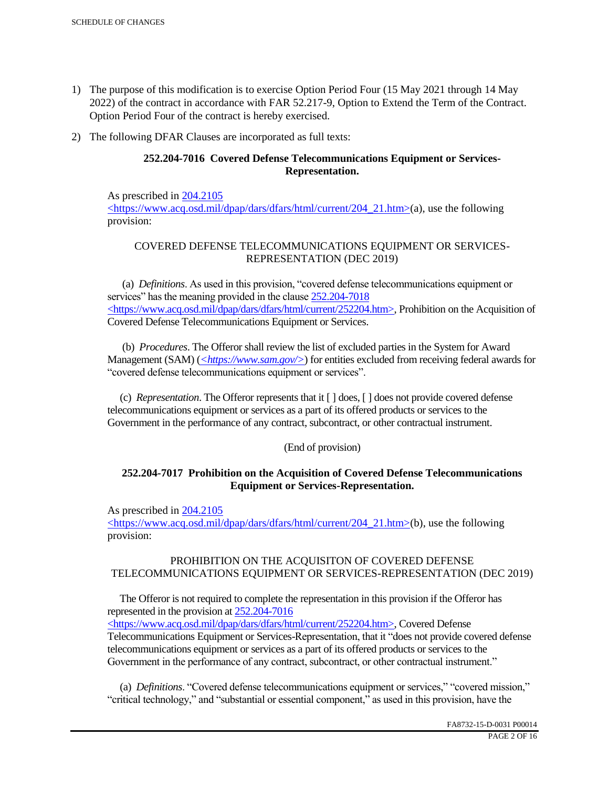- 1) The purpose of this modification is to exercise Option Period Four (15 May 2021 through 14 May 2022) of the contract in accordance with FAR 52.217-9, Option to Extend the Term of the Contract. Option Period Four of the contract is hereby exercised.
- 2) The following DFAR Clauses are incorporated as full texts:

# **252.204-7016 Covered Defense Telecommunications Equipment or Services-Representation.**

As prescribed in 204.2105 <https://www.acq.osd.mil/dpap/dars/dfars/html/current/204\_21.htm>(a), use the following provision:

# COVERED DEFENSE TELECOMMUNICATIONS EQUIPMENT OR SERVICES-REPRESENTATION (DEC 2019)

 (a) *Definitions*. As used in this provision, "covered defense telecommunications equipment or services" has the meaning provided in the clause  $252.204 - 7018$ <https://www.acq.osd.mil/dpap/dars/dfars/html/current/252204.htm>, Prohibition on the Acquisition of Covered Defense Telecommunications Equipment or Services.

 (b) *Procedures*. The Offeror shall review the list of excluded parties in the System for Award Management (SAM) (*<https://www.sam.gov/>*) for entities excluded from receiving federal awards for "covered defense telecommunications equipment or services".

 (c) *Representation*. The Offeror represents that it [ ] does, [ ] does not provide covered defense telecommunications equipment or services as a part of its offered products or services to the Government in the performance of any contract, subcontract, or other contractual instrument.

# (End of provision)

# **252.204-7017 Prohibition on the Acquisition of Covered Defense Telecommunications Equipment or Services-Representation.**

As prescribed in 204.2105

<https://www.acq.osd.mil/dpap/dars/dfars/html/current/204\_21.htm>(b), use the following provision:

# PROHIBITION ON THE ACQUISITON OF COVERED DEFENSE TELECOMMUNICATIONS EQUIPMENT OR SERVICES-REPRESENTATION (DEC 2019)

 The Offeror is not required to complete the representation in this provision if the Offeror has represented in the provision at 252.204-7016

<https://www.acq.osd.mil/dpap/dars/dfars/html/current/252204.htm>, Covered Defense Telecommunications Equipment or Services-Representation, that it "does not provide covered defense telecommunications equipment or services as a part of its offered products or services to the Government in the performance of any contract, subcontract, or other contractual instrument."

 (a) *Definitions*. "Covered defense telecommunications equipment or services," "covered mission," "critical technology," and "substantial or essential component," as used in this provision, have the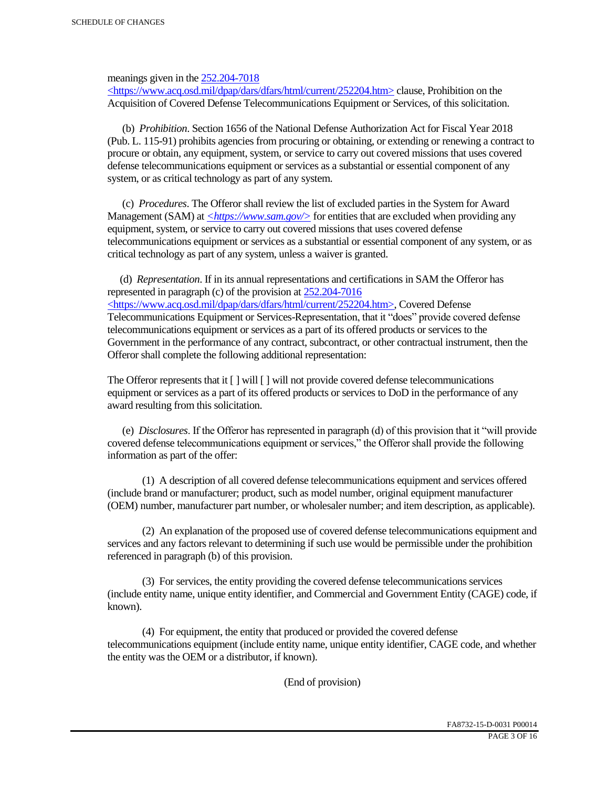meanings given in the 252.204-7018

 $\langle$ https://www.acq.osd.mil/dpap/dars/dfars/html/current/252204.htm> clause, Prohibition on the Acquisition of Covered Defense Telecommunications Equipment or Services, of this solicitation.

 (b) *Prohibition*. Section 1656 of the National Defense Authorization Act for Fiscal Year 2018 (Pub. L. 115-91) prohibits agencies from procuring or obtaining, or extending or renewing a contract to procure or obtain, any equipment, system, or service to carry out covered missions that uses covered defense telecommunications equipment or services as a substantial or essential component of any system, or as critical technology as part of any system.

 (c) *Procedures*. The Offeror shall review the list of excluded parties in the System for Award Management (SAM) at  $\leq$ https://www.sam.gov/> for entities that are excluded when providing any equipment, system, or service to carry out covered missions that uses covered defense telecommunications equipment or services as a substantial or essential component of any system, or as critical technology as part of any system, unless a waiver is granted.

 (d) *Representation*. If in its annual representations and certifications in SAM the Offeror has represented in paragraph (c) of the provision at 252.204-7016 <https://www.acq.osd.mil/dpap/dars/dfars/html/current/252204.htm>, Covered Defense Telecommunications Equipment or Services-Representation, that it "does" provide covered defense telecommunications equipment or services as a part of its offered products or services to the Government in the performance of any contract, subcontract, or other contractual instrument, then the Offeror shall complete the following additional representation:

The Offeror represents that it  $\lceil \cdot \rceil$  will  $\lceil \cdot \rceil$  will not provide covered defense telecommunications equipment or services as a part of its offered products or services to DoD in the performance of any award resulting from this solicitation.

 (e) *Disclosures*. If the Offeror has represented in paragraph (d) of this provision that it "will provide covered defense telecommunications equipment or services," the Offeror shall provide the following information as part of the offer:

 (1) A description of all covered defense telecommunications equipment and services offered (include brand or manufacturer; product, such as model number, original equipment manufacturer (OEM) number, manufacturer part number, or wholesaler number; and item description, as applicable).

 (2) An explanation of the proposed use of covered defense telecommunications equipment and services and any factors relevant to determining if such use would be permissible under the prohibition referenced in paragraph (b) of this provision.

 (3) For services, the entity providing the covered defense telecommunications services (include entity name, unique entity identifier, and Commercial and Government Entity (CAGE) code, if known).

 (4) For equipment, the entity that produced or provided the covered defense telecommunications equipment (include entity name, unique entity identifier, CAGE code, and whether the entity was the OEM or a distributor, if known).

(End of provision)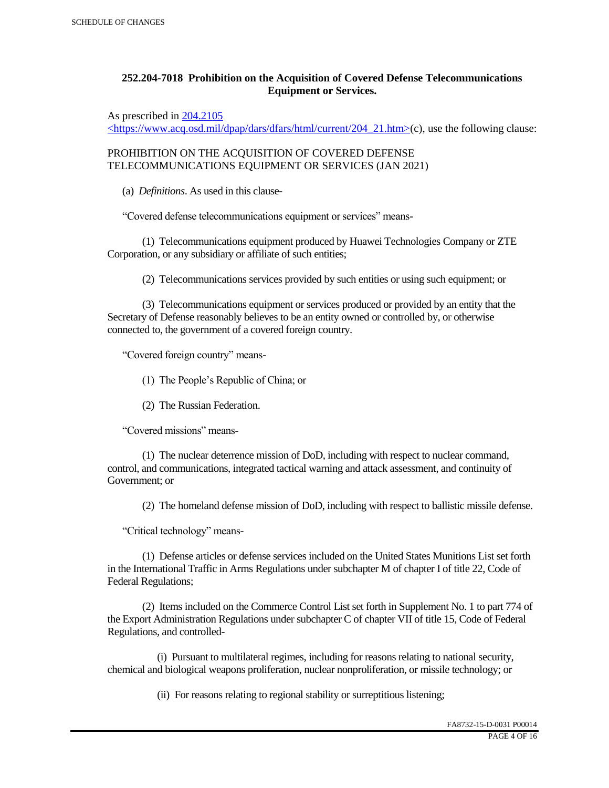# **252.204-7018 Prohibition on the Acquisition of Covered Defense Telecommunications Equipment or Services.**

As prescribed in 204.2105

 $\langle$ https://www.acq.osd.mil/dpap/dars/dfars/html/current/204\_21.htm>(c), use the following clause:

PROHIBITION ON THE ACQUISITION OF COVERED DEFENSE TELECOMMUNICATIONS EQUIPMENT OR SERVICES (JAN 2021)

(a) *Definitions*. As used in this clause-

"Covered defense telecommunications equipment or services" means-

 (1) Telecommunications equipment produced by Huawei Technologies Company or ZTE Corporation, or any subsidiary or affiliate of such entities;

(2) Telecommunications services provided by such entities or using such equipment; or

 (3) Telecommunications equipment or services produced or provided by an entity that the Secretary of Defense reasonably believes to be an entity owned or controlled by, or otherwise connected to, the government of a covered foreign country.

"Covered foreign country" means-

(1) The People's Republic of China; or

(2) The Russian Federation.

"Covered missions" means-

 (1) The nuclear deterrence mission of DoD, including with respect to nuclear command, control, and communications, integrated tactical warning and attack assessment, and continuity of Government; or

(2) The homeland defense mission of DoD, including with respect to ballistic missile defense.

"Critical technology" means-

 (1) Defense articles or defense services included on the United States Munitions List set forth in the International Traffic in Arms Regulations under subchapter M of chapter I of title 22, Code of Federal Regulations;

 (2) Items included on the Commerce Control List set forth in Supplement No. 1 to part 774 of the Export Administration Regulations under subchapter C of chapter VII of title 15, Code of Federal Regulations, and controlled-

 (i) Pursuant to multilateral regimes, including for reasons relating to national security, chemical and biological weapons proliferation, nuclear nonproliferation, or missile technology; or

(ii) For reasons relating to regional stability or surreptitious listening;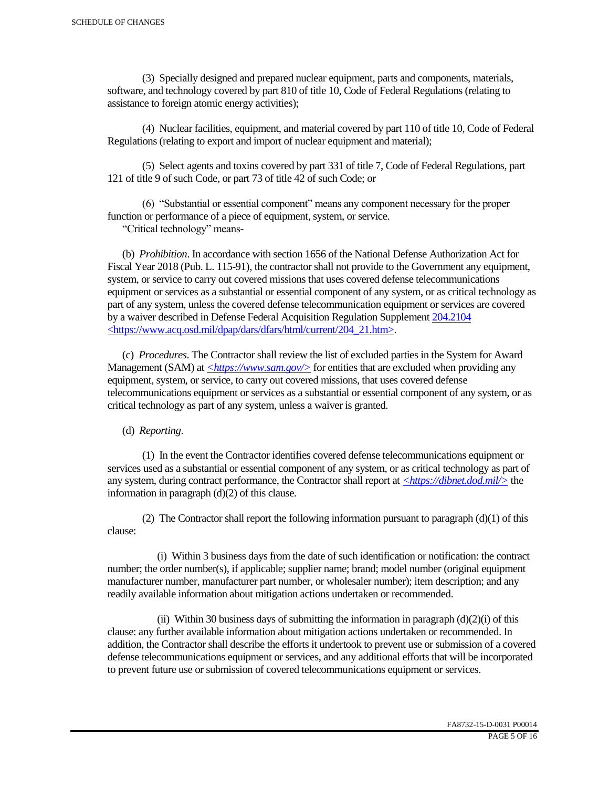(3) Specially designed and prepared nuclear equipment, parts and components, materials, software, and technology covered by part 810 of title 10, Code of Federal Regulations (relating to assistance to foreign atomic energy activities);

 (4) Nuclear facilities, equipment, and material covered by part 110 of title 10, Code of Federal Regulations (relating to export and import of nuclear equipment and material);

 (5) Select agents and toxins covered by part 331 of title 7, Code of Federal Regulations, part 121 of title 9 of such Code, or part 73 of title 42 of such Code; or

 (6) "Substantial or essential component" means any component necessary for the proper function or performance of a piece of equipment, system, or service.

"Critical technology" means-

 (b) *Prohibition*. In accordance with section 1656 of the National Defense Authorization Act for Fiscal Year 2018 (Pub. L. 115-91), the contractor shall not provide to the Government any equipment, system, or service to carry out covered missions that uses covered defense telecommunications equipment or services as a substantial or essential component of any system, or as critical technology as part of any system, unless the covered defense telecommunication equipment or services are covered by a waiver described in Defense Federal Acquisition Regulation Supplement 204.2104 <https://www.acq.osd.mil/dpap/dars/dfars/html/current/204\_21.htm>.

 (c) *Procedures*. The Contractor shall review the list of excluded parties in the System for Award Management (SAM) at  $\langle \frac{https://www.sam.gov/}{>}$  for entities that are excluded when providing any equipment, system, or service, to carry out covered missions, that uses covered defense telecommunications equipment or services as a substantial or essential component of any system, or as critical technology as part of any system, unless a waiver is granted.

(d) *Reporting*.

 (1) In the event the Contractor identifies covered defense telecommunications equipment or services used as a substantial or essential component of any system, or as critical technology as part of any system, during contract performance, the Contractor shall report at *<https://dibnet.dod.mil/>* the information in paragraph (d)(2) of this clause.

(2) The Contractor shall report the following information pursuant to paragraph  $(d)(1)$  of this clause:

 (i) Within 3 business days from the date of such identification or notification: the contract number; the order number(s), if applicable; supplier name; brand; model number (original equipment manufacturer number, manufacturer part number, or wholesaler number); item description; and any readily available information about mitigation actions undertaken or recommended.

(ii) Within 30 business days of submitting the information in paragraph  $(d)(2)(i)$  of this clause: any further available information about mitigation actions undertaken or recommended. In addition, the Contractor shall describe the efforts it undertook to prevent use or submission of a covered defense telecommunications equipment or services, and any additional efforts that will be incorporated to prevent future use or submission of covered telecommunications equipment or services.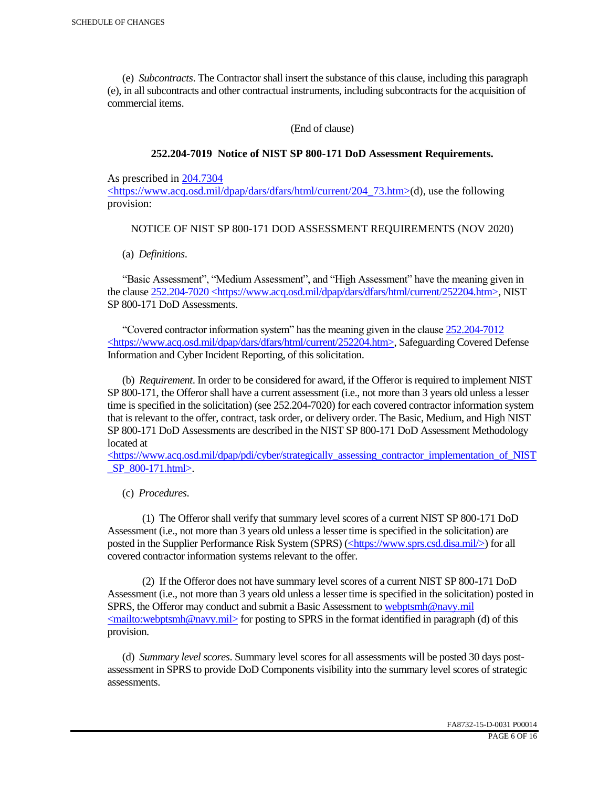(e) *Subcontracts*. The Contractor shall insert the substance of this clause, including this paragraph (e), in all subcontracts and other contractual instruments, including subcontracts for the acquisition of commercial items.

(End of clause)

#### **252.204-7019 Notice of NIST SP 800-171 DoD Assessment Requirements.**

As prescribed in 204.7304

 $\langle$ https://www.acq.osd.mil/dpap/dars/dfars/html/current/204 73.htm>(d), use the following provision:

### NOTICE OF NIST SP 800-171 DOD ASSESSMENT REQUIREMENTS (NOV 2020)

(a) *Definitions*.

 "Basic Assessment", "Medium Assessment", and "High Assessment" have the meaning given in the clause 252.204-7020 <https://www.acq.osd.mil/dpap/dars/dfars/html/current/252204.htm>, NIST SP 800-171 DoD Assessments.

 "Covered contractor information system" has the meaning given in the clause 252.204-7012 <https://www.acq.osd.mil/dpap/dars/dfars/html/current/252204.htm>, Safeguarding Covered Defense Information and Cyber Incident Reporting, of this solicitation.

 (b) *Requirement*. In order to be considered for award, if the Offeror is required to implement NIST SP 800-171, the Offeror shall have a current assessment (i.e., not more than 3 years old unless a lesser time is specified in the solicitation) (see 252.204-7020) for each covered contractor information system that is relevant to the offer, contract, task order, or delivery order. The Basic, Medium, and High NIST SP 800-171 DoD Assessments are described in the NIST SP 800-171 DoD Assessment Methodology located at

 $\langle$ https://www.acq.osd.mil/dpap/pdi/cyber/strategically\_assessing\_contractor\_implementation\_of\_NIST \_SP\_800-171.html>.

(c) *Procedures*.

 (1) The Offeror shall verify that summary level scores of a current NIST SP 800-171 DoD Assessment (i.e., not more than 3 years old unless a lesser time is specified in the solicitation) are posted in the Supplier Performance Risk System (SPRS) (<https://www.sprs.csd.disa.mil/>) for all covered contractor information systems relevant to the offer.

 (2) If the Offeror does not have summary level scores of a current NIST SP 800-171 DoD Assessment (i.e., not more than 3 years old unless a lesser time is specified in the solicitation) posted in SPRS, the Offeror may conduct and submit a Basic Assessment to webptsmh@navy.mil  $\leq$ mailto:webptsmh@navy.mil> for posting to SPRS in the format identified in paragraph (d) of this provision.

 (d) *Summary level scores*. Summary level scores for all assessments will be posted 30 days postassessment in SPRS to provide DoD Components visibility into the summary level scores of strategic assessments.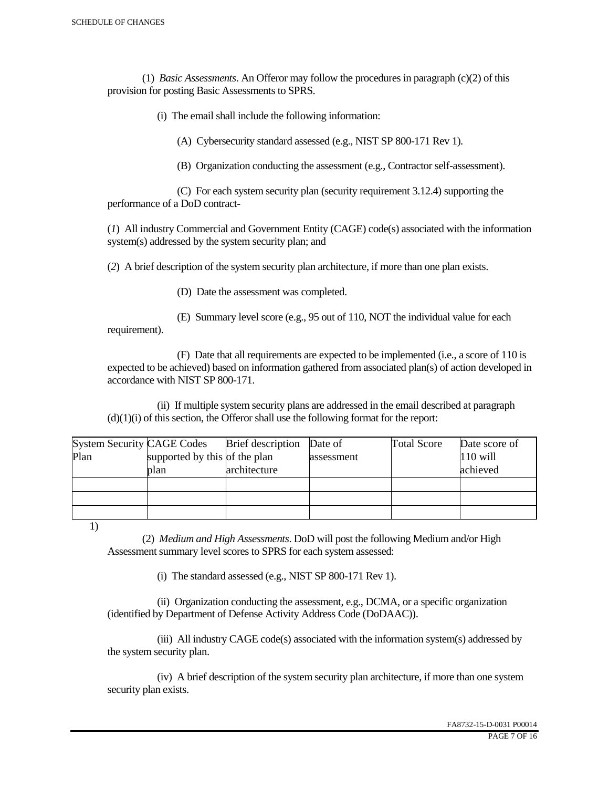(1) *Basic Assessments*. An Offeror may follow the procedures in paragraph (c)(2) of this provision for posting Basic Assessments to SPRS.

(i) The email shall include the following information:

(A) Cybersecurity standard assessed (e.g., NIST SP 800-171 Rev 1).

(B) Organization conducting the assessment (e.g., Contractor self-assessment).

 (C) For each system security plan (security requirement 3.12.4) supporting the performance of a DoD contract-

(*1*) All industry Commercial and Government Entity (CAGE) code(s) associated with the information system(s) addressed by the system security plan; and

(*2*) A brief description of the system security plan architecture, if more than one plan exists.

(D) Date the assessment was completed.

 (E) Summary level score (e.g., 95 out of 110, NOT the individual value for each requirement).

 (F) Date that all requirements are expected to be implemented (i.e., a score of 110 is expected to be achieved) based on information gathered from associated plan(s) of action developed in accordance with NIST SP 800-171.

 (ii) If multiple system security plans are addressed in the email described at paragraph  $(d)(1)(i)$  of this section, the Offeror shall use the following format for the report:

| <b>System Security CAGE Codes</b> |                               | <b>Brief</b> description | Date of    | <b>Total Score</b> | Date score of |
|-----------------------------------|-------------------------------|--------------------------|------------|--------------------|---------------|
| Plan                              | supported by this of the plan |                          | assessment |                    | $110$ will    |
|                                   | plan                          | architecture             |            |                    | achieved      |
|                                   |                               |                          |            |                    |               |
|                                   |                               |                          |            |                    |               |
|                                   |                               |                          |            |                    |               |

1)

 (2) *Medium and High Assessments*. DoD will post the following Medium and/or High Assessment summary level scores to SPRS for each system assessed:

(i) The standard assessed (e.g., NIST SP 800-171 Rev 1).

 (ii) Organization conducting the assessment, e.g., DCMA, or a specific organization (identified by Department of Defense Activity Address Code (DoDAAC)).

 (iii) All industry CAGE code(s) associated with the information system(s) addressed by the system security plan.

 (iv) A brief description of the system security plan architecture, if more than one system security plan exists.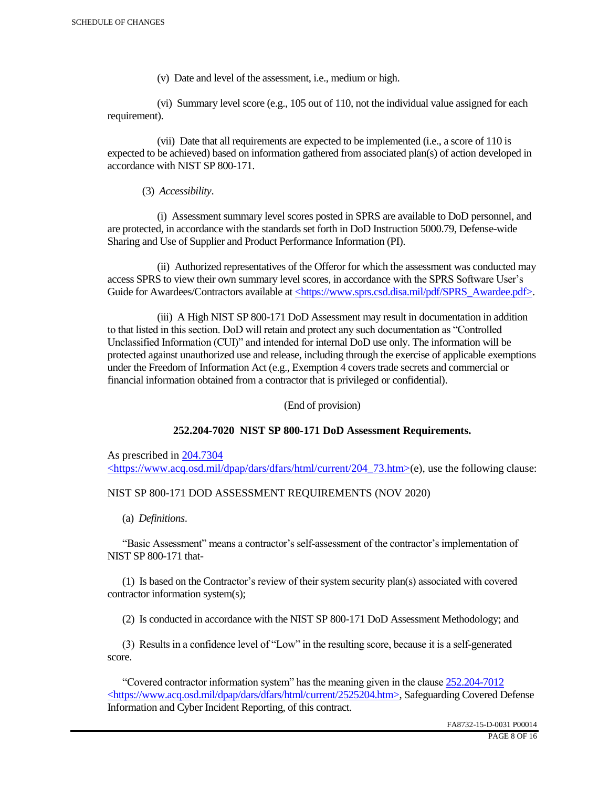(v) Date and level of the assessment, i.e., medium or high.

 (vi) Summary level score (e.g., 105 out of 110, not the individual value assigned for each requirement).

 (vii) Date that all requirements are expected to be implemented (i.e., a score of 110 is expected to be achieved) based on information gathered from associated plan(s) of action developed in accordance with NIST SP 800-171.

(3) *Accessibility*.

 (i) Assessment summary level scores posted in SPRS are available to DoD personnel, and are protected, in accordance with the standards set forth in DoD Instruction 5000.79, Defense-wide Sharing and Use of Supplier and Product Performance Information (PI).

 (ii) Authorized representatives of the Offeror for which the assessment was conducted may access SPRS to view their own summary level scores, in accordance with the SPRS Software User's Guide for Awardees/Contractors available at <https://www.sprs.csd.disa.mil/pdf/SPRS\_Awardee.pdf>.

 (iii) A High NIST SP 800-171 DoD Assessment may result in documentation in addition to that listed in this section. DoD will retain and protect any such documentation as "Controlled Unclassified Information (CUI)" and intended for internal DoD use only. The information will be protected against unauthorized use and release, including through the exercise of applicable exemptions under the Freedom of Information Act (e.g., Exemption 4 covers trade secrets and commercial or financial information obtained from a contractor that is privileged or confidential).

(End of provision)

# **252.204-7020 NIST SP 800-171 DoD Assessment Requirements.**

As prescribed in 204.7304 <https://www.acq.osd.mil/dpap/dars/dfars/html/current/204\_73.htm>(e), use the following clause:

# NIST SP 800-171 DOD ASSESSMENT REQUIREMENTS (NOV 2020)

(a) *Definitions*.

 "Basic Assessment" means a contractor's self-assessment of the contractor's implementation of NIST SP 800-171 that-

 (1) Is based on the Contractor's review of their system security plan(s) associated with covered contractor information system(s);

(2) Is conducted in accordance with the NIST SP 800-171 DoD Assessment Methodology; and

 (3) Results in a confidence level of "Low" in the resulting score, because it is a self-generated score.

 "Covered contractor information system" has the meaning given in the clause 252.204-7012 <https://www.acq.osd.mil/dpap/dars/dfars/html/current/2525204.htm>, Safeguarding Covered Defense Information and Cyber Incident Reporting, of this contract.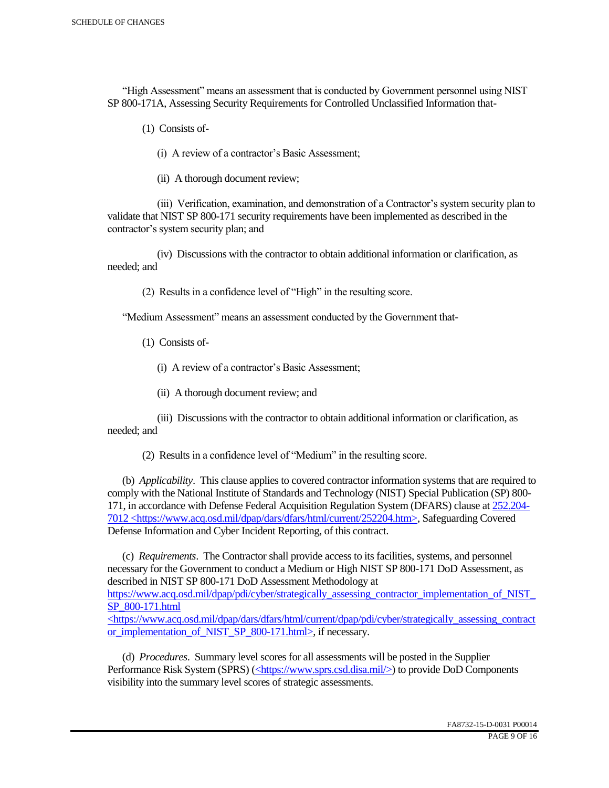"High Assessment" means an assessment that is conducted by Government personnel using NIST SP 800-171A, Assessing Security Requirements for Controlled Unclassified Information that-

(1) Consists of-

(i) A review of a contractor's Basic Assessment;

(ii) A thorough document review;

 (iii) Verification, examination, and demonstration of a Contractor's system security plan to validate that NIST SP 800-171 security requirements have been implemented as described in the contractor's system security plan; and

 (iv) Discussions with the contractor to obtain additional information or clarification, as needed; and

(2) Results in a confidence level of "High" in the resulting score.

"Medium Assessment" means an assessment conducted by the Government that-

(1) Consists of-

(i) A review of a contractor's Basic Assessment;

(ii) A thorough document review; and

 (iii) Discussions with the contractor to obtain additional information or clarification, as needed; and

(2) Results in a confidence level of "Medium" in the resulting score.

 (b) *Applicability*. This clause applies to covered contractor information systems that are required to comply with the National Institute of Standards and Technology (NIST) Special Publication (SP) 800- 171, in accordance with Defense Federal Acquisition Regulation System (DFARS) clause at 252.204- 7012 <https://www.acq.osd.mil/dpap/dars/dfars/html/current/252204.htm>, Safeguarding Covered Defense Information and Cyber Incident Reporting, of this contract.

 (c) *Requirements*. The Contractor shall provide access to its facilities, systems, and personnel necessary for the Government to conduct a Medium or High NIST SP 800-171 DoD Assessment, as described in NIST SP 800-171 DoD Assessment Methodology at https://www.acq.osd.mil/dpap/pdi/cyber/strategically\_assessing\_contractor\_implementation\_of\_NIST\_ SP\_800-171.html <https://www.acq.osd.mil/dpap/dars/dfars/html/current/dpap/pdi/cyber/strategically\_assessing\_contract

or implementation of NIST SP 800-171.html>, if necessary.

 (d) *Procedures*. Summary level scores for all assessments will be posted in the Supplier Performance Risk System (SPRS) (<https://www.sprs.csd.disa.mil/>) to provide DoD Components visibility into the summary level scores of strategic assessments.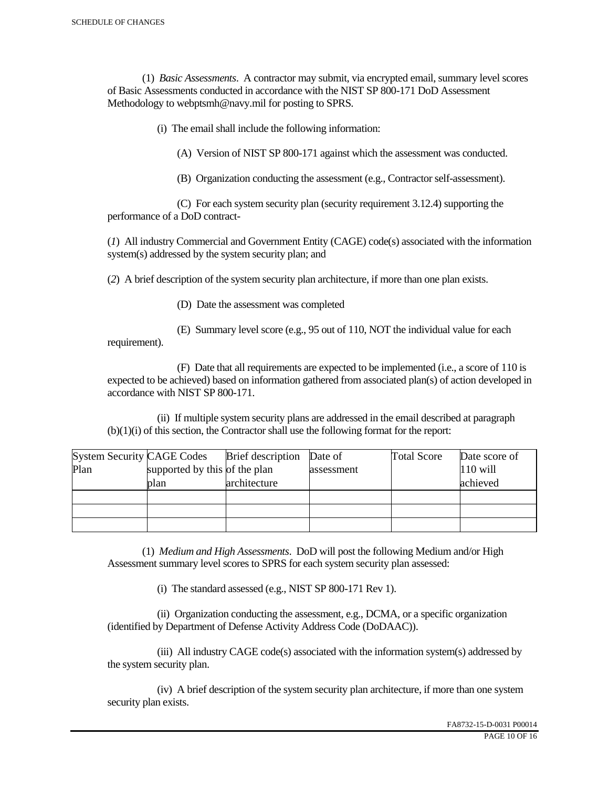(1) *Basic Assessments*. A contractor may submit, via encrypted email, summary level scores of Basic Assessments conducted in accordance with the NIST SP 800-171 DoD Assessment Methodology to webptsmh@navy.mil for posting to SPRS.

(i) The email shall include the following information:

(A) Version of NIST SP 800-171 against which the assessment was conducted.

(B) Organization conducting the assessment (e.g., Contractor self-assessment).

 (C) For each system security plan (security requirement 3.12.4) supporting the performance of a DoD contract-

(*1*) All industry Commercial and Government Entity (CAGE) code(s) associated with the information system(s) addressed by the system security plan; and

(*2*) A brief description of the system security plan architecture, if more than one plan exists.

(D) Date the assessment was completed

requirement).

(E) Summary level score (e.g., 95 out of 110, NOT the individual value for each

 (F) Date that all requirements are expected to be implemented (i.e., a score of 110 is expected to be achieved) based on information gathered from associated plan(s) of action developed in accordance with NIST SP 800-171.

 (ii) If multiple system security plans are addressed in the email described at paragraph (b)(1)(i) of this section, the Contractor shall use the following format for the report:

| <b>System Security CAGE Codes</b> |                               | <b>Brief</b> description | Date of    | <b>Total Score</b> | Date score of |
|-----------------------------------|-------------------------------|--------------------------|------------|--------------------|---------------|
| Plan                              | supported by this of the plan |                          | assessment |                    | $110$ will    |
|                                   | plan                          | architecture             |            |                    | achieved      |
|                                   |                               |                          |            |                    |               |
|                                   |                               |                          |            |                    |               |
|                                   |                               |                          |            |                    |               |

 (1) *Medium and High Assessments*. DoD will post the following Medium and/or High Assessment summary level scores to SPRS for each system security plan assessed:

(i) The standard assessed (e.g., NIST SP 800-171 Rev 1).

 (ii) Organization conducting the assessment, e.g., DCMA, or a specific organization (identified by Department of Defense Activity Address Code (DoDAAC)).

 (iii) All industry CAGE code(s) associated with the information system(s) addressed by the system security plan.

 (iv) A brief description of the system security plan architecture, if more than one system security plan exists.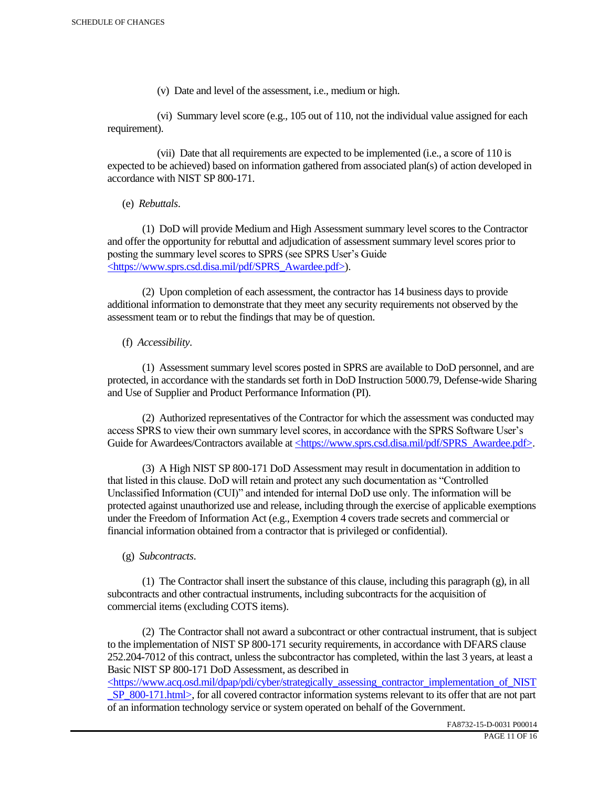(v) Date and level of the assessment, i.e., medium or high.

 (vi) Summary level score (e.g., 105 out of 110, not the individual value assigned for each requirement).

 (vii) Date that all requirements are expected to be implemented (i.e., a score of 110 is expected to be achieved) based on information gathered from associated plan(s) of action developed in accordance with NIST SP 800-171.

(e) *Rebuttals*.

 (1) DoD will provide Medium and High Assessment summary level scores to the Contractor and offer the opportunity for rebuttal and adjudication of assessment summary level scores prior to posting the summary level scores to SPRS (see SPRS User's Guide <https://www.sprs.csd.disa.mil/pdf/SPRS\_Awardee.pdf>).

 (2) Upon completion of each assessment, the contractor has 14 business days to provide additional information to demonstrate that they meet any security requirements not observed by the assessment team or to rebut the findings that may be of question.

# (f) *Accessibility*.

 (1) Assessment summary level scores posted in SPRS are available to DoD personnel, and are protected, in accordance with the standards set forth in DoD Instruction 5000.79, Defense-wide Sharing and Use of Supplier and Product Performance Information (PI).

 (2) Authorized representatives of the Contractor for which the assessment was conducted may access SPRS to view their own summary level scores, in accordance with the SPRS Software User's Guide for Awardees/Contractors available at <https://www.sprs.csd.disa.mil/pdf/SPRS\_Awardee.pdf>.

 (3) A High NIST SP 800-171 DoD Assessment may result in documentation in addition to that listed in this clause. DoD will retain and protect any such documentation as "Controlled Unclassified Information (CUI)" and intended for internal DoD use only. The information will be protected against unauthorized use and release, including through the exercise of applicable exemptions under the Freedom of Information Act (e.g., Exemption 4 covers trade secrets and commercial or financial information obtained from a contractor that is privileged or confidential).

# (g) *Subcontracts*.

(1) The Contractor shall insert the substance of this clause, including this paragraph  $(g)$ , in all subcontracts and other contractual instruments, including subcontracts for the acquisition of commercial items (excluding COTS items).

 (2) The Contractor shall not award a subcontract or other contractual instrument, that is subject to the implementation of NIST SP 800-171 security requirements, in accordance with DFARS clause 252.204-7012 of this contract, unless the subcontractor has completed, within the last 3 years, at least a Basic NIST SP 800-171 DoD Assessment, as described in

 $\langle$ https://www.acq.osd.mil/dpap/pdi/cyber/strategically\_assessing\_contractor\_implementation\_of\_NIST SP\_800-171.html>, for all covered contractor information systems relevant to its offer that are not part of an information technology service or system operated on behalf of the Government.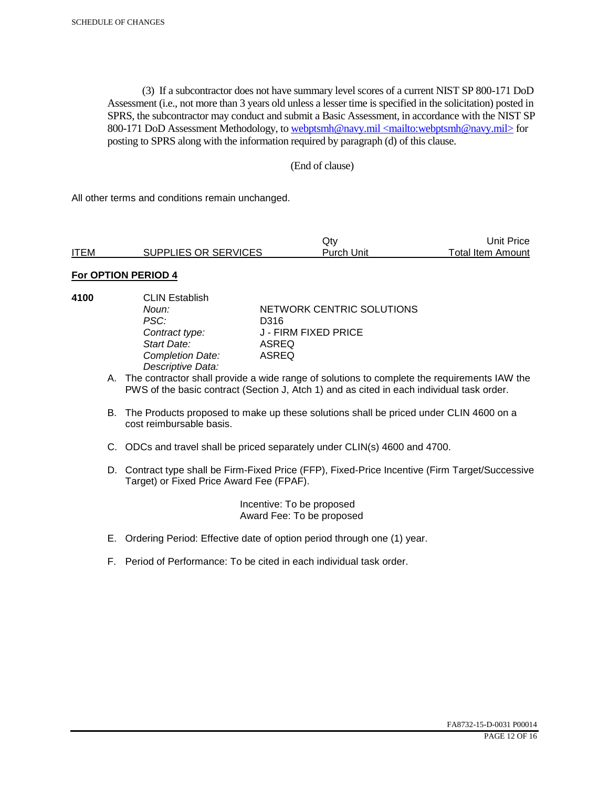(3) If a subcontractor does not have summary level scores of a current NIST SP 800-171 DoD Assessment (i.e., not more than 3 years old unless a lesser time is specified in the solicitation) posted in SPRS, the subcontractor may conduct and submit a Basic Assessment, in accordance with the NIST SP 800-171 DoD Assessment Methodology, to webptsmh@navy.mil <mailto:webptsmh@navy.mil> for posting to SPRS along with the information required by paragraph (d) of this clause.

#### (End of clause)

All other terms and conditions remain unchanged.

|             |                      | Jtv.       | Unit Price l      |
|-------------|----------------------|------------|-------------------|
| <b>ITEM</b> | SUPPLIES OR SERVICES | Purch Unit | Total Item Amount |

### **For OPTION PERIOD 4**

**4100** CLIN Establish PSC: D316<br>Contract type: J - FII *Start Date:* ASREQ **Completion Date:** *Descriptive Data:* 

**Noun: NETWORK CENTRIC SOLUTIONS** *Contract type:* J - FIRM FIXED PRICE

- A. The contractor shall provide a wide range of solutions to complete the requirements IAW the PWS of the basic contract (Section J, Atch 1) and as cited in each individual task order.
- B. The Products proposed to make up these solutions shall be priced under CLIN 4600 on a cost reimbursable basis.
- C. ODCs and travel shall be priced separately under CLIN(s) 4600 and 4700.
- D. Contract type shall be Firm-Fixed Price (FFP), Fixed-Price Incentive (Firm Target/Successive Target) or Fixed Price Award Fee (FPAF).

 Incentive: To be proposed Award Fee: To be proposed

- E. Ordering Period: Effective date of option period through one (1) year.
- F. Period of Performance: To be cited in each individual task order.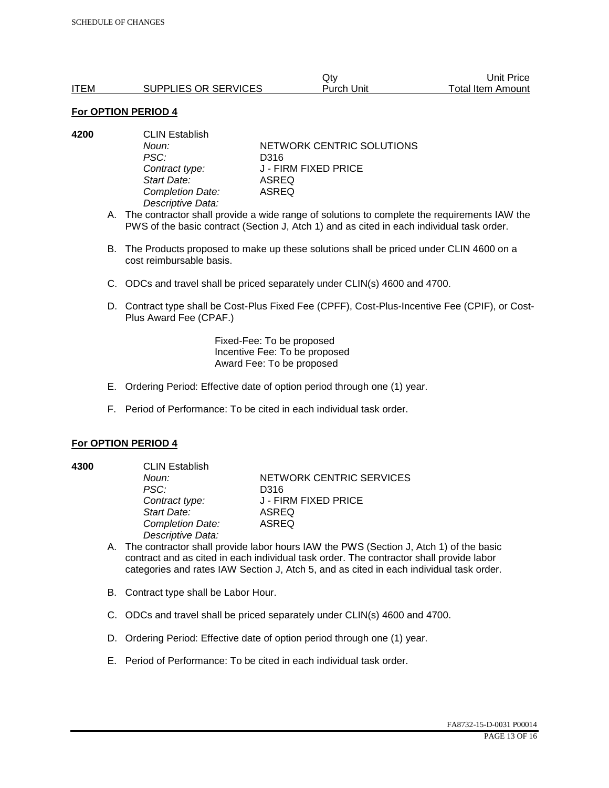|             |                      | Qtv        | Unit Price        |
|-------------|----------------------|------------|-------------------|
| <b>ITEM</b> | SUPPLIES OR SERVICES | Purch Unit | Total Item Amount |

| 4200 | <b>CLIN Establish</b> |                           |  |
|------|-----------------------|---------------------------|--|
|      | Noun:                 | NETWORK CENTRIC SOLUTIONS |  |
|      | PSC:                  | D316                      |  |
|      | Contract type:        | J - FIRM FIXED PRICE      |  |
|      | Start Date:           | ASREQ                     |  |
|      | Completion Date:      | ASREQ                     |  |
|      | Descriptive Data:     |                           |  |
|      |                       |                           |  |

- A. The contractor shall provide a wide range of solutions to complete the requirements IAW the PWS of the basic contract (Section J, Atch 1) and as cited in each individual task order.
- B. The Products proposed to make up these solutions shall be priced under CLIN 4600 on a cost reimbursable basis.
- C. ODCs and travel shall be priced separately under CLIN(s) 4600 and 4700.
- D. Contract type shall be Cost-Plus Fixed Fee (CPFF), Cost-Plus-Incentive Fee (CPIF), or Cost-Plus Award Fee (CPAF.)

Fixed-Fee: To be proposed Incentive Fee: To be proposed Award Fee: To be proposed

- E. Ordering Period: Effective date of option period through one (1) year.
- F. Period of Performance: To be cited in each individual task order.

#### **For OPTION PERIOD 4**

**4300** CLIN Establish

*PSC:* D316 *Start Date:* ASREQ *Completion Date:* ASREQ *Descriptive Data:* 

**Noun: NETWORK CENTRIC SERVICES** *Contract type:* J - FIRM FIXED PRICE

- A. The contractor shall provide labor hours IAW the PWS (Section J, Atch 1) of the basic contract and as cited in each individual task order. The contractor shall provide labor categories and rates IAW Section J, Atch 5, and as cited in each individual task order.
- B. Contract type shall be Labor Hour.
- C. ODCs and travel shall be priced separately under CLIN(s) 4600 and 4700.
- D. Ordering Period: Effective date of option period through one (1) year.
- E. Period of Performance: To be cited in each individual task order.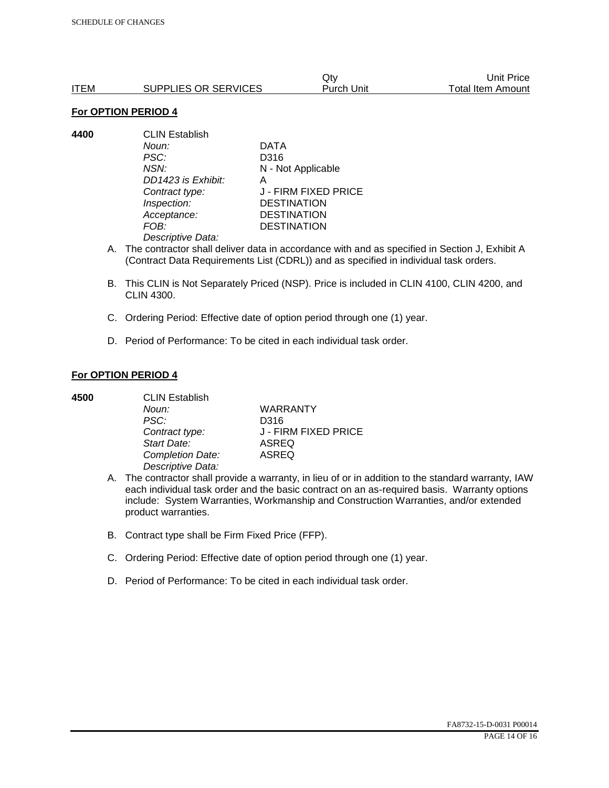|      |                      | Qtv        | Unit Price        |
|------|----------------------|------------|-------------------|
| ITEM | SUPPLIES OR SERVICES | Purch Unit | Total Item Amount |

**4400** CLIN Establish *Noun:* DATA *PSC:* D316 *NSN:* N - Not Applicable *DD1423 is Exhibit:* A *Contract type:* J - FIRM FIXED PRICE *Inspection:* DESTINATION *Acceptance:* DESTINATION *FOB:* DESTINATION *Descriptive Data:* 

- A. The contractor shall deliver data in accordance with and as specified in Section J, Exhibit A (Contract Data Requirements List (CDRL)) and as specified in individual task orders.
- B. This CLIN is Not Separately Priced (NSP). Price is included in CLIN 4100, CLIN 4200, and CLIN 4300.
- C. Ordering Period: Effective date of option period through one (1) year.
- D. Period of Performance: To be cited in each individual task order.

#### **For OPTION PERIOD 4**

| 4500 | <b>CLIN Establish</b> |                      |  |
|------|-----------------------|----------------------|--|
|      | Noun:                 | <b>WARRANTY</b>      |  |
|      | PSC:                  | D316                 |  |
|      | Contract type:        | J - FIRM FIXED PRICE |  |
|      | Start Date:           | <b>ASREQ</b>         |  |
|      | Completion Date:      | <b>ASREQ</b>         |  |
|      | Descriptive Data:     |                      |  |

- A. The contractor shall provide a warranty, in lieu of or in addition to the standard warranty, IAW each individual task order and the basic contract on an as-required basis. Warranty options include: System Warranties, Workmanship and Construction Warranties, and/or extended product warranties.
- B. Contract type shall be Firm Fixed Price (FFP).
- C. Ordering Period: Effective date of option period through one (1) year.
- D. Period of Performance: To be cited in each individual task order.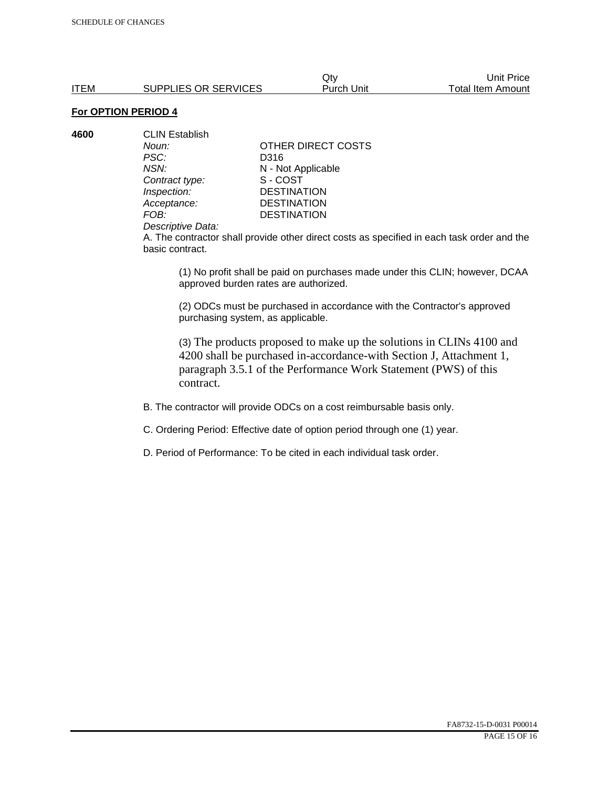**4600** CLIN Establish *PSC:* D316 **Contract type:** *Inspection:* DESTINATION<br> *Acceptance:* DESTINATION *Acceptance:* DESTINATION<br>FOB: DESTINATION

*Noun:* **CONTACT OTHER DIRECT COSTS** *NSN:* **N** - Not Applicable<br>
Contract type: S - COST **DESTINATION** 

#### *Descriptive Data:*

A. The contractor shall provide other direct costs as specified in each task order and the basic contract.

(1) No profit shall be paid on purchases made under this CLIN; however, DCAA approved burden rates are authorized.

(2) ODCs must be purchased in accordance with the Contractor's approved purchasing system, as applicable.

(3) The products proposed to make up the solutions in CLINs 4100 and 4200 shall be purchased in-accordance-with Section J, Attachment 1, paragraph 3.5.1 of the Performance Work Statement (PWS) of this contract.

B. The contractor will provide ODCs on a cost reimbursable basis only.

C. Ordering Period: Effective date of option period through one (1) year.

D. Period of Performance: To be cited in each individual task order.